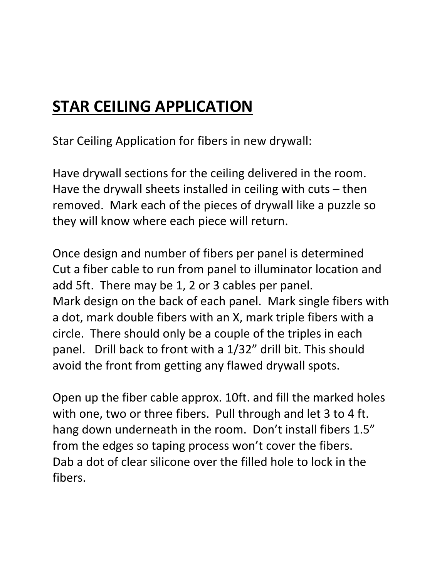## **STAR CEILING APPLICATION**

Star Ceiling Application for fibers in new drywall:

Have drywall sections for the ceiling delivered in the room. Have the drywall sheets installed in ceiling with cuts – then removed. Mark each of the pieces of drywall like a puzzle so they will know where each piece will return.

Once design and number of fibers per panel is determined Cut a fiber cable to run from panel to illuminator location and add 5ft. There may be 1, 2 or 3 cables per panel. Mark design on the back of each panel. Mark single fibers with a dot, mark double fibers with an X, mark triple fibers with a circle. There should only be a couple of the triples in each panel. Drill back to front with a 1/32" drill bit. This should avoid the front from getting any flawed drywall spots.

Open up the fiber cable approx. 10ft. and fill the marked holes with one, two or three fibers. Pull through and let 3 to 4 ft. hang down underneath in the room. Don't install fibers 1.5" from the edges so taping process won't cover the fibers. Dab a dot of clear silicone over the filled hole to lock in the fibers.